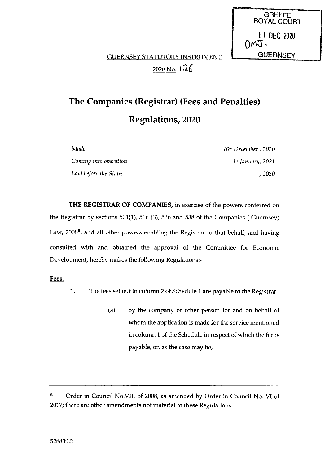**GREFFE** ROYAL COURT 11 DEC 2020  $OMJ.$ 

# GUERNSEY STATUTORY INSTRUMENT **LEADER GUERNSEY** 2020 No.  $126$

# The Companies (Registrar) (Fees and Penalties) Regulations, 2020

| Made                   | 10 <sup>th</sup> December, 2020 |
|------------------------|---------------------------------|
| Coming into operation  | $1st$ January, 2021             |
| Laid before the States | , 2020                          |

THE REGISTRAR OF COMPANIES, in exercise of the powers conferred on the Registrar by sections 501(1), 516 (3), 536 and 538 of the Companies ( Guernsey) Law, 2008<sup>a</sup>, and all other powers enabling the Registrar in that behalf, and having consulted with and obtained the approval of the Committee for Economic Development, hereby makes the following Regulations:

Fees.

- 1. The fees set out in column <sup>2</sup> of Schedule <sup>1</sup> are payable to the Registrar—
	- (a) by the company or other person for and on behalf of whom the application is made for the service mentioned in column <sup>I</sup> of the Schedule in respect of which the fee is payable, or, as the case may be,

<sup>&</sup>lt;sup>a</sup> Order in Council No.VIII of 2008, as amended by Order in Council No. VI of 2017; there are other amendments not material to these Regulations.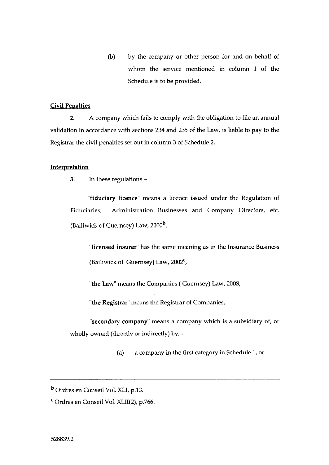(b) by the company or other person for and on behalf of whom the service mentioned in column <sup>1</sup> of the Schedule is to be provided.

#### Civil Penalties

2. A company which fails to comply with the obligation to file an annual validation in accordance with sections 234 and 235 of the Law, is liable to pay to the Registrar the civil penalties set out in column 3 of Schedule 2.

## Interpretation

3. In these regulations

fiduciary licence' means a licence issued under the Regulation of Fiduciaries, Administration Businesses and Company Directors, etc. (Bailiwick of Guernsey) Law,  $2000<sup>b</sup>$ ,

'licensed insurer" has the same meaning as in the Insurance Business (Bailiwick of Guernsey) Law,  $2002^{\mathbf{C}}$ ,

"the Law" means the Companies ( Guernsey) Law, 2008,

"the Registrar' means the Registrar of Companies,

"secondary company" means a company which is a subsidiary of, or wholly owned (directly or indirectly) by, -

(a) a company in the first category in Schedule 1, or

b Ordres en Conseil Vol. XLI, p.13.

<sup>C</sup> Ordres en Conseil Vol. XLII(2), p.766.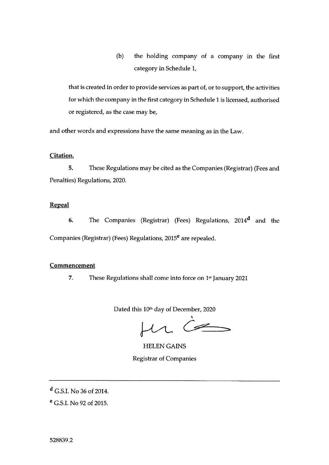(b) the holding company of a company in the first category in Schedule 1,

that is created in order to provide services as part of, or to support, the activities for which the company in the first category in Schedule I is licensed, authorised or registered, as the case may be,

and other words and expressions have the same meaning as in the Law.

## Citation.

5. These Regulations may be cited as the Companies (Registrar) (Fees and Penalties) Regulations, 2020.

## Repeal

6. The Companies (Registrar) (Fees) Regulations,  $2014<sup>d</sup>$  and the Companies (Registrar) (Fees) Regulations, 2015<sup>e</sup> are repealed.

## **Commencement**

7. These Regulations shall come into force on  $1st$  January 2021

Dated this 10<sup>th</sup> day of December, 2020

 $\mu$   $\epsilon$ 

HELEN GAINS Registrar of Companies

 $d$  G.S.I. No 36 of 2014.

<sup>e</sup> G.S.I. No 92 of 2015.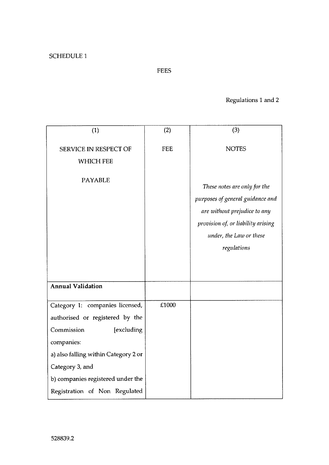# FEES

# Regulations <sup>1</sup> and 2

| (1)                                  | (2)        | (3)                                |
|--------------------------------------|------------|------------------------------------|
| <b>SERVICE IN RESPECT OF</b>         | <b>FEE</b> | <b>NOTES</b>                       |
| <b>WHICH FEE</b>                     |            |                                    |
|                                      |            |                                    |
| <b>PAYABLE</b>                       |            | These notes are only for the       |
|                                      |            | purposes of general guidance and   |
|                                      |            | are without prejudice to any       |
|                                      |            | provision of, or liability arising |
|                                      |            | under, the Law or these            |
|                                      |            | regulations                        |
|                                      |            |                                    |
|                                      |            |                                    |
| <b>Annual Validation</b>             |            |                                    |
| Category 1: companies licensed,      | £1000      |                                    |
| authorised or registered by the      |            |                                    |
| Commission<br>[excluding             |            |                                    |
| companies:                           |            |                                    |
| a) also falling within Category 2 or |            |                                    |
| Category 3, and                      |            |                                    |
| b) companies registered under the    |            |                                    |
| Registration of Non Regulated        |            |                                    |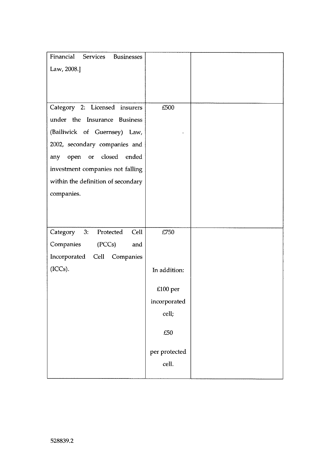| Financial Services Businesses       |               |  |
|-------------------------------------|---------------|--|
| Law, 2008.]                         |               |  |
|                                     |               |  |
|                                     |               |  |
|                                     |               |  |
| Category 2: Licensed insurers       | £500          |  |
| under the Insurance Business        |               |  |
| (Bailiwick of Guernsey) Law,        |               |  |
| 2002, secondary companies and       |               |  |
| open or closed<br>ended<br>any      |               |  |
| investment companies not falling    |               |  |
| within the definition of secondary  |               |  |
| companies.                          |               |  |
|                                     |               |  |
|                                     |               |  |
| 3:<br>Category<br>Protected<br>Cell | £750          |  |
|                                     |               |  |
| Companies<br>(PCCs)<br>and          |               |  |
| Incorporated Cell Companies         |               |  |
| (ICCs).                             | In addition:  |  |
|                                     | $£100$ per    |  |
|                                     |               |  |
|                                     | incorporated  |  |
|                                     | cell;         |  |
|                                     | £50           |  |
|                                     | per protected |  |
|                                     | cell.         |  |
|                                     |               |  |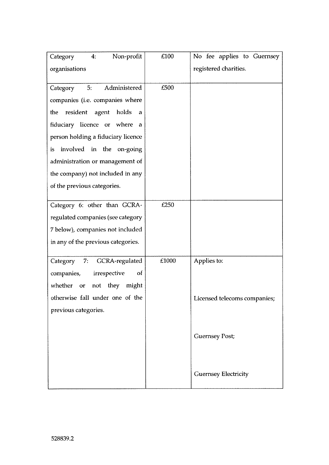| registered charities.<br>organisations<br>5:<br>Administered<br>£500<br>Category<br>companies (i.e. companies where<br>the resident agent holds<br>a<br>fiduciary licence or where<br>$\alpha$<br>person holding a fiduciary licence<br>involved in the on-going<br>is.<br>administration or management of<br>the company) not included in any<br>of the previous categories.<br>Category 6: other than GCRA-<br>£250<br>regulated companies (see category<br>7 below), companies not included<br>in any of the previous categories.<br>£1000<br>Applies to:<br>7:<br>GCRA-regulated<br>Category<br>companies,<br>irrespective<br>of<br>whether or<br>not they might<br>otherwise fall under one of the<br>Licensed telecoms companies;<br>previous categories. | Non-profit<br>Category<br>4. | £100 | No fee applies to Guernsey |
|-----------------------------------------------------------------------------------------------------------------------------------------------------------------------------------------------------------------------------------------------------------------------------------------------------------------------------------------------------------------------------------------------------------------------------------------------------------------------------------------------------------------------------------------------------------------------------------------------------------------------------------------------------------------------------------------------------------------------------------------------------------------|------------------------------|------|----------------------------|
|                                                                                                                                                                                                                                                                                                                                                                                                                                                                                                                                                                                                                                                                                                                                                                 |                              |      |                            |
|                                                                                                                                                                                                                                                                                                                                                                                                                                                                                                                                                                                                                                                                                                                                                                 |                              |      |                            |
|                                                                                                                                                                                                                                                                                                                                                                                                                                                                                                                                                                                                                                                                                                                                                                 |                              |      |                            |
|                                                                                                                                                                                                                                                                                                                                                                                                                                                                                                                                                                                                                                                                                                                                                                 |                              |      |                            |
|                                                                                                                                                                                                                                                                                                                                                                                                                                                                                                                                                                                                                                                                                                                                                                 |                              |      |                            |
|                                                                                                                                                                                                                                                                                                                                                                                                                                                                                                                                                                                                                                                                                                                                                                 |                              |      |                            |
|                                                                                                                                                                                                                                                                                                                                                                                                                                                                                                                                                                                                                                                                                                                                                                 |                              |      |                            |
|                                                                                                                                                                                                                                                                                                                                                                                                                                                                                                                                                                                                                                                                                                                                                                 |                              |      |                            |
|                                                                                                                                                                                                                                                                                                                                                                                                                                                                                                                                                                                                                                                                                                                                                                 |                              |      |                            |
|                                                                                                                                                                                                                                                                                                                                                                                                                                                                                                                                                                                                                                                                                                                                                                 |                              |      |                            |
|                                                                                                                                                                                                                                                                                                                                                                                                                                                                                                                                                                                                                                                                                                                                                                 |                              |      |                            |
|                                                                                                                                                                                                                                                                                                                                                                                                                                                                                                                                                                                                                                                                                                                                                                 |                              |      |                            |
|                                                                                                                                                                                                                                                                                                                                                                                                                                                                                                                                                                                                                                                                                                                                                                 |                              |      |                            |
|                                                                                                                                                                                                                                                                                                                                                                                                                                                                                                                                                                                                                                                                                                                                                                 |                              |      |                            |
|                                                                                                                                                                                                                                                                                                                                                                                                                                                                                                                                                                                                                                                                                                                                                                 |                              |      |                            |
|                                                                                                                                                                                                                                                                                                                                                                                                                                                                                                                                                                                                                                                                                                                                                                 |                              |      |                            |
|                                                                                                                                                                                                                                                                                                                                                                                                                                                                                                                                                                                                                                                                                                                                                                 |                              |      |                            |
|                                                                                                                                                                                                                                                                                                                                                                                                                                                                                                                                                                                                                                                                                                                                                                 |                              |      |                            |
|                                                                                                                                                                                                                                                                                                                                                                                                                                                                                                                                                                                                                                                                                                                                                                 |                              |      |                            |
|                                                                                                                                                                                                                                                                                                                                                                                                                                                                                                                                                                                                                                                                                                                                                                 |                              |      |                            |
|                                                                                                                                                                                                                                                                                                                                                                                                                                                                                                                                                                                                                                                                                                                                                                 |                              |      |                            |
|                                                                                                                                                                                                                                                                                                                                                                                                                                                                                                                                                                                                                                                                                                                                                                 |                              |      |                            |
| <b>Guernsey Post;</b>                                                                                                                                                                                                                                                                                                                                                                                                                                                                                                                                                                                                                                                                                                                                           |                              |      |                            |
|                                                                                                                                                                                                                                                                                                                                                                                                                                                                                                                                                                                                                                                                                                                                                                 |                              |      |                            |
|                                                                                                                                                                                                                                                                                                                                                                                                                                                                                                                                                                                                                                                                                                                                                                 |                              |      |                            |
| <b>Guernsey Electricity</b>                                                                                                                                                                                                                                                                                                                                                                                                                                                                                                                                                                                                                                                                                                                                     |                              |      |                            |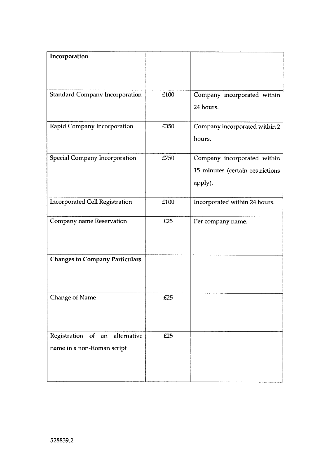| Incorporation                         |      |                                  |
|---------------------------------------|------|----------------------------------|
|                                       |      |                                  |
|                                       |      |                                  |
|                                       |      |                                  |
|                                       |      |                                  |
| <b>Standard Company Incorporation</b> | £100 | Company incorporated within      |
|                                       |      |                                  |
|                                       |      | 24 hours.                        |
|                                       |      |                                  |
| Rapid Company Incorporation           | £350 | Company incorporated within 2    |
|                                       |      |                                  |
|                                       |      | hours.                           |
|                                       |      |                                  |
| Special Company Incorporation         | £750 | Company incorporated within      |
|                                       |      | 15 minutes (certain restrictions |
|                                       |      |                                  |
|                                       |      | apply).                          |
|                                       | £100 |                                  |
| <b>Incorporated Cell Registration</b> |      | Incorporated within 24 hours.    |
|                                       |      |                                  |
| Company name Reservation              | £25  | Per company name.                |
|                                       |      |                                  |
|                                       |      |                                  |
|                                       |      |                                  |
|                                       |      |                                  |
| <b>Changes to Company Particulars</b> |      |                                  |
|                                       |      |                                  |
|                                       |      |                                  |
|                                       |      |                                  |
|                                       | £25  |                                  |
| <b>Change of Name</b>                 |      |                                  |
|                                       |      |                                  |
|                                       |      |                                  |
|                                       |      |                                  |
| Registration of an alternative        | £25  |                                  |
|                                       |      |                                  |
| name in a non-Roman script            |      |                                  |
|                                       |      |                                  |
|                                       |      |                                  |
|                                       |      |                                  |
|                                       |      |                                  |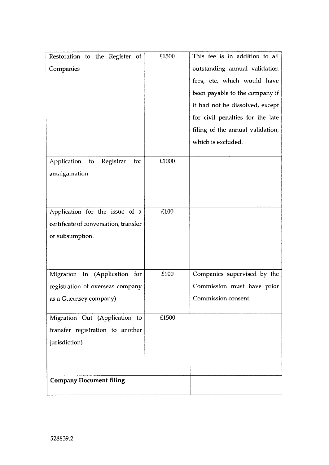| Restoration to the Register of<br>Companies                                                 | £1500 | This fee is in addition to all<br>outstanding annual validation<br>fees, etc, which would have<br>been payable to the company if<br>it had not be dissolved, except<br>for civil penalties for the late |
|---------------------------------------------------------------------------------------------|-------|---------------------------------------------------------------------------------------------------------------------------------------------------------------------------------------------------------|
|                                                                                             |       | filing of the annual validation,<br>which is excluded.                                                                                                                                                  |
| Application to Registrar<br>for<br>amalgamation                                             | £1000 |                                                                                                                                                                                                         |
| Application for the issue of a<br>certificate of conversation, transfer<br>or subsumption.  | £100  |                                                                                                                                                                                                         |
| Migration In (Application for<br>registration of overseas company<br>as a Guernsey company) | £100  | Companies supervised by the<br>Commission must have prior<br>Commission consent.                                                                                                                        |
| Migration Out (Application to<br>transfer registration to another<br>jurisdiction)          | £1500 |                                                                                                                                                                                                         |
| <b>Company Document filing</b>                                                              |       |                                                                                                                                                                                                         |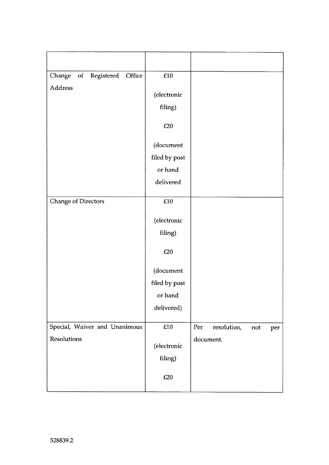| of Registered<br>Change<br>Office | $\pounds10$   |                                  |
|-----------------------------------|---------------|----------------------------------|
| Address                           | (electronic   |                                  |
|                                   | filing)       |                                  |
|                                   | £20           |                                  |
|                                   | (document     |                                  |
|                                   | filed by post |                                  |
|                                   | or hand       |                                  |
|                                   | delivered     |                                  |
| <b>Change of Directors</b>        | £10           |                                  |
|                                   | (electronic   |                                  |
|                                   | filing)       |                                  |
|                                   | $\pounds 20$  |                                  |
|                                   | (document     |                                  |
|                                   | filed by post |                                  |
|                                   | or hand       |                                  |
|                                   | delivered)    |                                  |
| Special, Waiver and Unanimous     | £10           | Per<br>resolution,<br>not<br>per |
| Resolutions                       | (electronic   | document.                        |
|                                   | filing)       |                                  |
|                                   | £20           |                                  |
|                                   |               |                                  |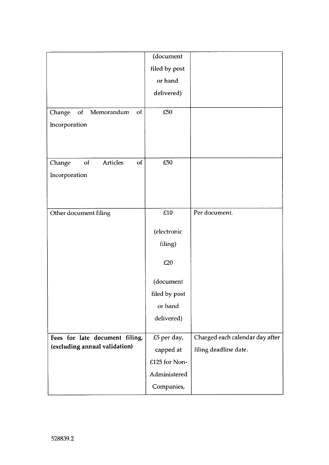|                                | (document     |                                 |
|--------------------------------|---------------|---------------------------------|
|                                | filed by post |                                 |
|                                | or hand       |                                 |
|                                | delivered)    |                                 |
|                                |               |                                 |
| of Memorandum<br>Change<br>of  | £50           |                                 |
| Incorporation                  |               |                                 |
|                                |               |                                 |
|                                |               |                                 |
| Articles<br>of<br>of<br>Change | £50           |                                 |
| Incorporation                  |               |                                 |
|                                |               |                                 |
|                                |               |                                 |
| Other document filing          | £10           | Per document.                   |
|                                |               |                                 |
|                                | (electronic   |                                 |
|                                | filing)       |                                 |
|                                | £20           |                                 |
|                                |               |                                 |
|                                | (document     |                                 |
|                                | filed by post |                                 |
|                                | or hand       |                                 |
|                                | delivered)    |                                 |
| Fees for late document filing, | £5 per day,   | Charged each calendar day after |
| (excluding annual validation)  | capped at     | filing deadline date.           |
|                                | £125 for Non- |                                 |
|                                | Administered  |                                 |
|                                | Companies,    |                                 |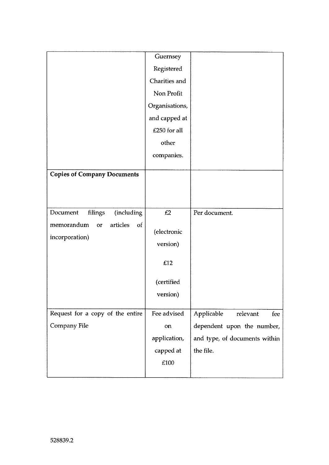| Registered<br>Charities and<br>Non Profit<br>Organisations,<br>and capped at<br>£250 for all<br>other<br>companies.<br>(including<br>Per document.<br>filings<br>£2<br>articles<br>of<br>or<br>(electronic<br>incorporation)<br>version)<br>£12<br>(certified<br>version) |                                    | Guernsey |  |
|---------------------------------------------------------------------------------------------------------------------------------------------------------------------------------------------------------------------------------------------------------------------------|------------------------------------|----------|--|
|                                                                                                                                                                                                                                                                           |                                    |          |  |
|                                                                                                                                                                                                                                                                           |                                    |          |  |
|                                                                                                                                                                                                                                                                           |                                    |          |  |
|                                                                                                                                                                                                                                                                           |                                    |          |  |
|                                                                                                                                                                                                                                                                           |                                    |          |  |
|                                                                                                                                                                                                                                                                           |                                    |          |  |
|                                                                                                                                                                                                                                                                           |                                    |          |  |
|                                                                                                                                                                                                                                                                           |                                    |          |  |
|                                                                                                                                                                                                                                                                           |                                    |          |  |
|                                                                                                                                                                                                                                                                           |                                    |          |  |
|                                                                                                                                                                                                                                                                           | <b>Copies of Company Documents</b> |          |  |
|                                                                                                                                                                                                                                                                           |                                    |          |  |
|                                                                                                                                                                                                                                                                           |                                    |          |  |
|                                                                                                                                                                                                                                                                           | Document                           |          |  |
|                                                                                                                                                                                                                                                                           | memorandum                         |          |  |
|                                                                                                                                                                                                                                                                           |                                    |          |  |
|                                                                                                                                                                                                                                                                           |                                    |          |  |
|                                                                                                                                                                                                                                                                           |                                    |          |  |
|                                                                                                                                                                                                                                                                           |                                    |          |  |
|                                                                                                                                                                                                                                                                           |                                    |          |  |
|                                                                                                                                                                                                                                                                           |                                    |          |  |
|                                                                                                                                                                                                                                                                           |                                    |          |  |
| Fee advised<br>Applicable<br>relevant<br>fee                                                                                                                                                                                                                              | Request for a copy of the entire   |          |  |
| dependent upon the number,<br>on                                                                                                                                                                                                                                          | Company File                       |          |  |
| application,<br>and type, of documents within                                                                                                                                                                                                                             |                                    |          |  |
| the file.<br>capped at                                                                                                                                                                                                                                                    |                                    |          |  |
| £100                                                                                                                                                                                                                                                                      |                                    |          |  |
|                                                                                                                                                                                                                                                                           |                                    |          |  |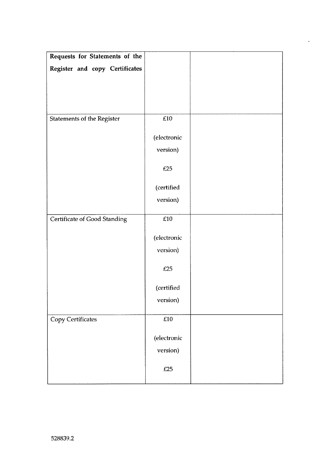| Requests for Statements of the    |             |  |
|-----------------------------------|-------------|--|
| Register and copy Certificates    |             |  |
|                                   |             |  |
|                                   |             |  |
|                                   |             |  |
|                                   | $\pounds10$ |  |
| <b>Statements of the Register</b> |             |  |
|                                   | (electronic |  |
|                                   | version)    |  |
|                                   | E25         |  |
|                                   |             |  |
|                                   | (certified  |  |
|                                   | version)    |  |
|                                   |             |  |
| Certificate of Good Standing      | $\pounds10$ |  |
|                                   | (electronic |  |
|                                   | version)    |  |
|                                   |             |  |
|                                   | £25         |  |
|                                   | (certified  |  |
|                                   | version)    |  |
|                                   |             |  |
| Copy Certificates                 | £10         |  |
|                                   | (electronic |  |
|                                   | version)    |  |
|                                   |             |  |
|                                   | £25         |  |
|                                   |             |  |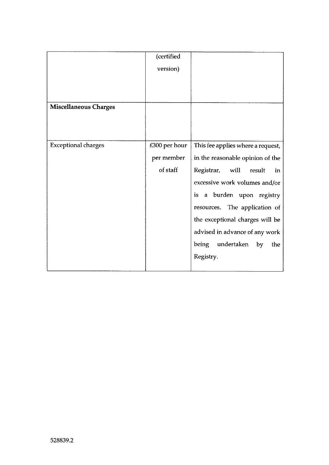|                              | (certified    |                                   |
|------------------------------|---------------|-----------------------------------|
|                              | version)      |                                   |
|                              |               |                                   |
|                              |               |                                   |
|                              |               |                                   |
| <b>Miscellaneous Charges</b> |               |                                   |
|                              |               |                                   |
|                              |               |                                   |
| <b>Exceptional charges</b>   | £300 per hour | This fee applies where a request, |
|                              | per member    | in the reasonable opinion of the  |
|                              | of staff      | Registrar, will<br>result<br>in   |
|                              |               | excessive work volumes and/or     |
|                              |               | is a burden upon registry         |
|                              |               | resources. The application of     |
|                              |               | the exceptional charges will be   |
|                              |               | advised in advance of any work    |
|                              |               | being undertaken<br>by<br>the     |
|                              |               | Registry.                         |
|                              |               |                                   |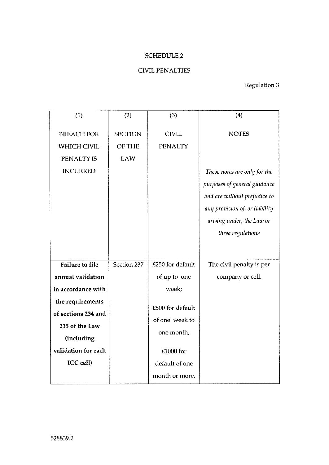## SCHEDULE 2

# CIVIL PENALTIES

# Regulation 3

| (1)                                                                      | (2)                                    | (3)                            | (4)                                                                                                                                              |
|--------------------------------------------------------------------------|----------------------------------------|--------------------------------|--------------------------------------------------------------------------------------------------------------------------------------------------|
| <b>BREACH FOR</b><br><b>WHICH CIVIL</b><br>PENALTY IS<br><b>INCURRED</b> | <b>SECTION</b><br><b>OF THE</b><br>LAW | <b>CIVIL</b><br><b>PENALTY</b> | <b>NOTES</b><br>These notes are only for the                                                                                                     |
|                                                                          |                                        |                                | purposes of general guidance<br>and are without prejudice to<br>any provision of, or liability<br>arising under, the Law or<br>these regulations |
| <b>Failure to file</b>                                                   | Section 237                            | £250 for default               | The civil penalty is per                                                                                                                         |
| annual validation                                                        |                                        | of up to one                   | company or cell.                                                                                                                                 |
| in accordance with                                                       |                                        | week:                          |                                                                                                                                                  |
| the requirements                                                         |                                        | £500 for default               |                                                                                                                                                  |
| of sections 234 and                                                      |                                        | of one week to                 |                                                                                                                                                  |
| 235 of the Law                                                           |                                        | one month;                     |                                                                                                                                                  |
| (including                                                               |                                        |                                |                                                                                                                                                  |
| validation for each                                                      |                                        | £1000 for                      |                                                                                                                                                  |
| <b>ICC</b> cell)                                                         |                                        | default of one                 |                                                                                                                                                  |
|                                                                          |                                        | month or more.                 |                                                                                                                                                  |